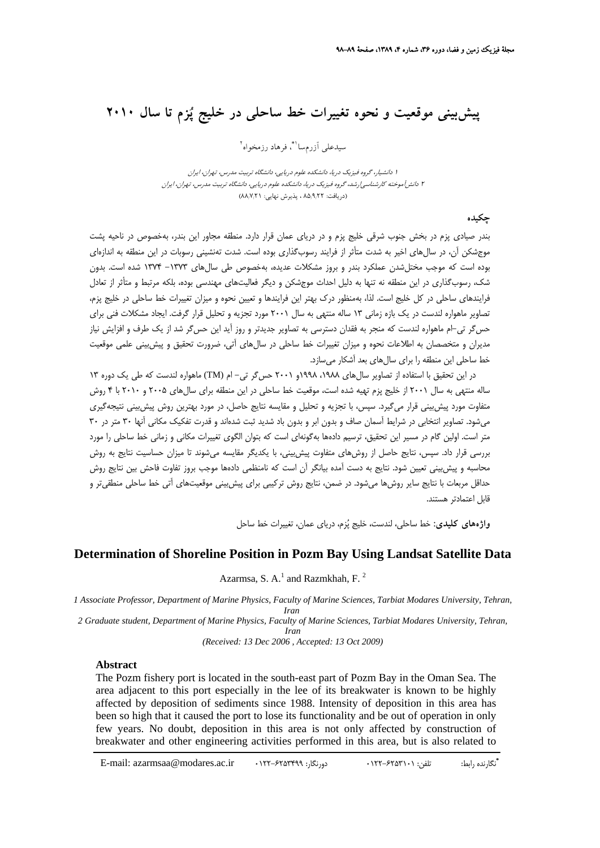## **پيشبيني موقعيت و نحوه تغييرات خط ساحلي در خليج پزم تا سال 2010**

سيدعلى أزرمسا ا\*ّ، فرهاد رزمخواه<sup>٢</sup>

<sup>1</sup> دانشيار، گروه فيزيك دريا، دانشكده علوم دريايي، دانشگاه تربيت مدرس، تهران، ايران <sup>2</sup> دانشآموخته كارشناسيارشد، گروه فيزيك دريا، دانشكده علوم دريايي، دانشگاه تربيت مدرس، تهران، ايران (دريافت: 85/9/22 ، پذيرش نهايي: 88/7/21)

## **چكيده**

بندر صيادي پزم در بخش جنوب شرقي خليج پزم و در درياي عمان قرار دارد. منطقه مجاور اين بندر، بهخصوص در ناحيه پشت موجشكن آن، در سالهاي اخير به شدت متأثر از فرايند رسوبگذاري بوده است. شدت تهنشيني رسوبات در اين منطقه به اندازهاي بوده است كه موجب مختلشدن عملكرد بندر و بروز مشكلات عديده، بهخصوص طي سالهاي -1373 1374 شده است. بدون شك، رسوبگذاري در اين منطقه نه تنها به دليل احداث موجشكن و ديگر فعاليتهاي مهندسي بوده، بلكه مرتبط و متأثر از تعادل فرايندهاي ساحلي در كل خليج است. لذا، بهمنظور درك بهتر اين فرايندها و تعيين نحوه و ميزان تغييرات خط ساحلي در خليج پزم، تصاوير ماهواره لندست در يك بازه زماني 13 ساله منتهي به سال 2001 مورد تجزيه و تحليل قرار گرفت. ايجاد مشكلات فني براي حسگر تي-ام ماهواره لندست كه منجر به فقدان دسترسي به تصاوير جديدتر و روز آيد اين حسگر شد از يك طرف و افزايش نياز مديران و متخصصان به اطلاعات نحوه و ميزان تغييرات خط ساحلي در سالهاي آتي، ضرورت تحقيق و پيشبيني علمي موقعيت خط ساحلي اين منطقه را براي سالهاي بعد آشكار ميسازد.

در اين تحقيق با استفاده از تصاوير سال هاي ١٩٨٨، ١٩٩٨و ٢٠٠١ حس گر تي- ام (TM) ماهواره لندست كه طي يك دوره ١٣ ساله منتهي به سال 2001 از خليج پزم تهيه شده است، موقعيت خط ساحلي در اين منطقه براي سالهاي 2005 و 2010 با 4 روش متفاوت مورد پيشبيني قرار ميگيرد. سپس، با تجزيه و تحليل و مقايسه نتايج حاصل، در مورد بهترين روش پيشبيني نتيجهگيري ميشود. تصاوير انتخابي در شرايط آسمان صاف و بدون ابر و بدون باد شديد ثبت شدهاند و قدرت تفكيك مكاني آنها 30 متر در 30 متر است. اولين گام در مسير اين تحقيق، ترسيم دادهها بهگونهاي است كه بتوان الگوي تغييرات مكاني و زماني خط ساحلي را مورد بررسي قرار داد. سپس، نتايج حاصل از روشهاي متفاوت پيشبيني، با يكديگر مقايسه ميشوند تا ميزان حساسيت نتايج به روش محاسبه و پيشبيني تعيين شود. نتايج به دست آمده بيانگر آن است كه نامنظمي دادهها موجب بروز تفاوت فاحش بين نتايج روش حداقل مربعات با نتايج ساير روشها ميشود. در ضمن، نتايج روش تركيبي براي پيشبيني موقعيتهاي آتي خط ساحلي منطقيتر و قابل اعتمادتر هستند.

**واژههاي كليدي:** خط ساحلي، لندست، خليج پزم، درياي عمان، تغييرات خط ساحل

## **Determination of Shoreline Position in Pozm Bay Using Landsat Satellite Data**

Azarmsa, S. A. $<sup>1</sup>$  and Razmkhah, F.<sup>2</sup></sup>

*1 Associate Professor, Department of Marine Physics, Faculty of Marine Sciences, Tarbiat Modares University, Tehran, Iran* 

*2 Graduate student, Department of Marine Physics, Faculty of Marine Sciences, Tarbiat Modares University, Tehran, Iran*

*(Received: 13 Dec 2006 , Accepted: 13 Oct 2009)* 

## **Abstract**

The Pozm fishery port is located in the south-east part of Pozm Bay in the Oman Sea. The area adjacent to this port especially in the lee of its breakwater is known to be highly affected by deposition of sediments since 1988. Intensity of deposition in this area has been so high that it caused the port to lose its functionality and be out of operation in only few years. No doubt, deposition in this area is not only affected by construction of breakwater and other engineering activities performed in this area, but is also related to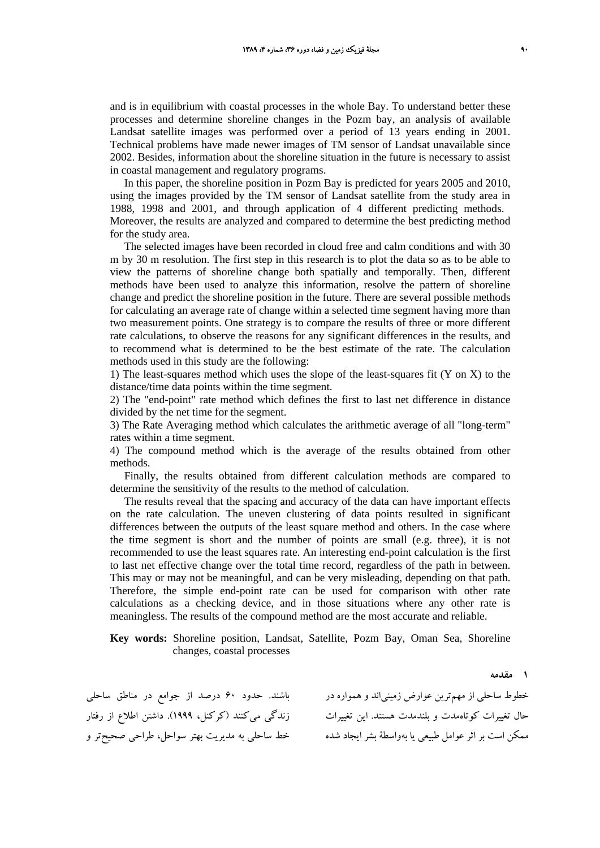and is in equilibrium with coastal processes in the whole Bay. To understand better these processes and determine shoreline changes in the Pozm bay, an analysis of available Landsat satellite images was performed over a period of 13 years ending in 2001. Technical problems have made newer images of TM sensor of Landsat unavailable since 2002. Besides, information about the shoreline situation in the future is necessary to assist in coastal management and regulatory programs.

In this paper, the shoreline position in Pozm Bay is predicted for years 2005 and 2010, using the images provided by the TM sensor of Landsat satellite from the study area in 1988, 1998 and 2001, and through application of 4 different predicting methods. Moreover, the results are analyzed and compared to determine the best predicting method for the study area.

The selected images have been recorded in cloud free and calm conditions and with 30 m by 30 m resolution. The first step in this research is to plot the data so as to be able to view the patterns of shoreline change both spatially and temporally. Then, different methods have been used to analyze this information, resolve the pattern of shoreline change and predict the shoreline position in the future. There are several possible methods for calculating an average rate of change within a selected time segment having more than two measurement points. One strategy is to compare the results of three or more different rate calculations, to observe the reasons for any significant differences in the results, and to recommend what is determined to be the best estimate of the rate. The calculation methods used in this study are the following:

1) The least-squares method which uses the slope of the least-squares fit (Y on X) to the distance/time data points within the time segment.

2) The "end-point" rate method which defines the first to last net difference in distance divided by the net time for the segment.

3) The Rate Averaging method which calculates the arithmetic average of all "long-term" rates within a time segment.

4) The compound method which is the average of the results obtained from other methods.

Finally, the results obtained from different calculation methods are compared to determine the sensitivity of the results to the method of calculation.

The results reveal that the spacing and accuracy of the data can have important effects on the rate calculation. The uneven clustering of data points resulted in significant differences between the outputs of the least square method and others. In the case where the time segment is short and the number of points are small (e.g. three), it is not recommended to use the least squares rate. An interesting end-point calculation is the first to last net effective change over the total time record, regardless of the path in between. This may or may not be meaningful, and can be very misleading, depending on that path. Therefore, the simple end-point rate can be used for comparison with other rate calculations as a checking device, and in those situations where any other rate is meaningless. The results of the compound method are the most accurate and reliable.

**Key words:** Shoreline position, Landsat, Satellite, Pozm Bay, Oman Sea, Shoreline changes, coastal processes

خطوط ساحلی از مهم ترین عوارض زمینیاند و همواره در باشند. حدود ۶۰ درصد از جوامع در مناطق ساحلی حال تغييرات كوتاهمدت و بلندمدت هستند. اين تغييرات زندگي ميكنند (كركنل، 1999). داشتن اطلاع از رفتار ممكن است بر اثر عوامل طبيعي يا بهواسطهٔ بشر ايجاد شده خط ساحلي به مديريت بهتر سواحل، طراحي صحيح تر و

**1 مقدمه**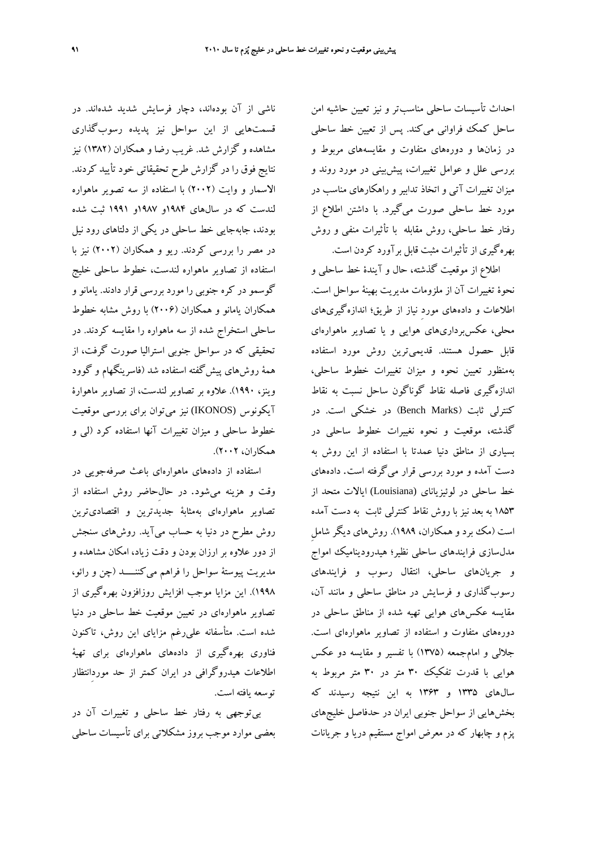احداث تأسيسات ساحلي مناسبتر و نيز تعيين حاشيه امن ساحل كمك فراواني ميكند. پس از تعيين خط ساحلي در زمانها و دورههاي متفاوت و مقايسههاي مربوط و بررسي علل و عوامل تغييرات، پيشبيني در مورد روند و ميزان تغييرات آتي و اتخاذ تدابير و راهكارهاي مناسب در مورد خط ساحلي صورت ميگيرد. با داشتن اطلاع از رفتار خط ساحلي، روش مقابله با تأثيرات منفي و روش بهرهگيري از تأثيرات مثبت قابل برآورد كردن است.

اطلاع از موقعيت گذشته، حال و آيندة خط ساحلي و نحوة تغييرات آن از ملزومات مديريت بهينة سواحل است. اطلاعات و دادههاي موردِ نياز از طريق؛ اندازهگيريهاي محلي، عكسبرداريهاي هوايي و يا تصاوير ماهوارهاي قابل حصول هستند. قديميترين روش مورد استفاده بهمنظور تعيين نحوه و ميزان تغييرات خطوط ساحلي، اندازهگيري فاصله نقاط گوناگون ساحل نسبت به نقاط كنترلي ثابت (Bench Marks) در خشكي است. در گذشته، موقعيت و نحوه نغييرات خطوط ساحلي در بسياري از مناطق دنيا عمدتا با استفاده از اين روش به دست آمده و مورد بررسي قرار ميگرفته است. دادههاي خط ساحلي در لوئيزياناي (Louisiana (ايالات متحد از 1853 به بعد نيز با روش نقاط كنترلي ثابت به دست آمده است (مك برد و همكاران، 1989). روشهاي ديگر شاملِ مدلسازي فرايندهاي ساحلي نظير؛ هيدروديناميك امواج و جريانهاي ساحلي، انتقال رسوب و فرايندهاي رسوبگذاري و فرسايش در مناطق ساحلي و مانند آن، مقايسه عكسهاي هوايي تهيه شده از مناطق ساحلي در دورههاي متفاوت و استفاده از تصاوير ماهوارهاي است. جلالي و امامجمعه (1375) با تفسير و مقايسه دو عكس هوايي با قدرت تفكيك 30 متر در 30 متر مربوط به سالهاي 1335 و 1363 به اين نتيجه رسيدند كه بخشهايي از سواحل جنوبي ايران در حدفاصل خليجهاي پزم و چابهار كه در معرض امواج مستقيم دريا و جريانات

ناشي از آن بودهاند، دچار فرسايش شديد شدهاند. در قسمتهايي از اين سواحل نيز پديده رسوبگذاري مشاهده و گزارش شد. غريب رضا و همكاران (1382) نيز نتايج فوق را در گزارش طرح تحقيقاتي خود تأييد كردند. الاسمار و وايت (2002) با استفاده از سه تصوير ماهواره لندست كه در سالهاي 1984و 1987و 1991 ثبت شده بودند، جابهجايي خط ساحلي در يكي از دلتاهاي رود نيل در مصر را بررسي كردند. ريو و همكاران (2002) نيز با استفاده از تصاوير ماهواره لندست، خطوط ساحلي خليج گوسمو در كره جنوبي را مورد بررسي قرار دادند. يامانو و همكاران يامانو و همكاران (2006) با روش مشابه خطوط ساحلي استخراج شده از سه ماهواره را مقايسه كردند. در تحقيقي كه در سواحل جنوبي استراليا صورت گرفت، از همة روشهاي پيشگفته استفاده شد (فاسرينگهام و گوود وينز، 1990). علاوه بر تصاوير لندست، از تصاوير ماهوارة آيكونوس (IKONOS (نيز ميتوان براي بررسي موقعيت خطوط ساحلي و ميزان تغييرات آنها استفاده كرد (لي و همكاران، 2002).

استفاده از دادههاي ماهوارهاي باعث صرفهجويي در وقت و هزينه ميشود. در حالِحاضر روش استفاده از تصاوير ماهوارهاي بهمثابة جديدترين و اقتصاديترين روش مطرح در دنيا به حساب ميآيد. روشهاي سنجش از دور علاوه بر ارزان بودن و دقت زياد، امكان مشاهده و مديريت پيوستة سواحل را فراهم ميكننــــد (چن و رائو، 1998). اين مزايا موجب افزايش روزافزون بهرهگيري از تصاوير ماهوارهاي در تعيين موقعيت خط ساحلي در دنيا شده است. متأسفانه عليرغم مزاياي اين روش، تاكنون فناوري بهرهگيري از دادههاي ماهوارهاي براي تهية اطلاعات هيدروگرافي در ايران كمتر از حد موردِانتظار توسعه يافته است.

بيتوجهي به رفتار خط ساحلي و تغييرات آن در بعضي موارد موجب بروز مشكلاتي براي تأسيسات ساحلي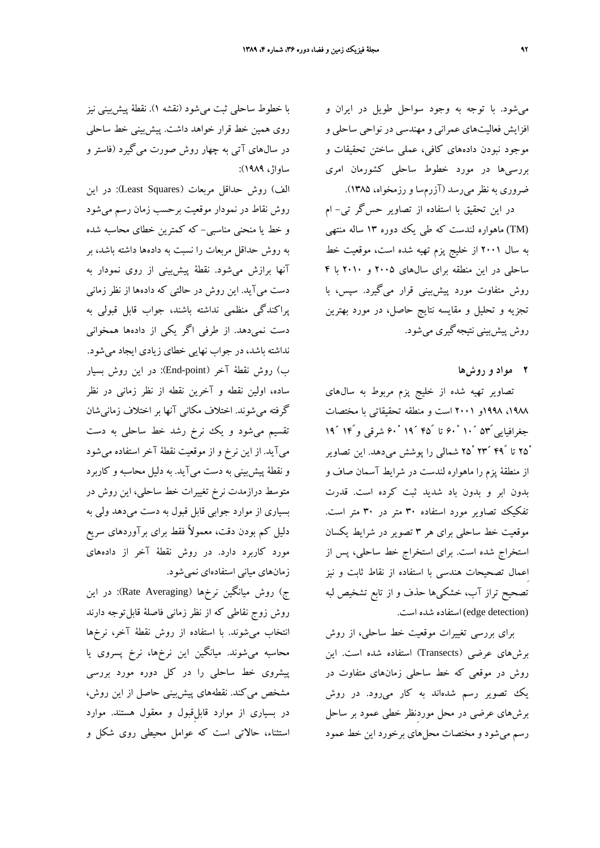ميشود. با توجه به وجود سواحل طويل در ايران و افزايش فعاليتهاي عمراني و مهندسي در نواحي ساحلي و موجود نبودن دادههاي كافي، عملي ساختن تحقيقات و بررسيها در مورد خطوط ساحلي كشورمان امري ضروري به نظر ميرسد (آزرمسا و رزمخواه، 1385).

در اين تحقيق با استفاده از تصاوير حسگر تي- ام (TM (ماهواره لندست كه طي يك دوره 13 ساله منتهي به سال 2001 از خليج پزم تهيه شده است، موقعيت خط ساحلي در اين منطقه براي سالهاي 2005 و 2010 با 4 روش متفاوت مورد پيشبيني قرار ميگيرد. سپس، با تجزيه و تحليل و مقايسه نتايج حاصل، در مورد بهترين روش پيشبيني نتيجهگيري ميشود.

**2 مواد و روشها**

تصاوير تهيه شده از خليج پزم مربوط به سالهاي ،1988 1998و 2001 است و منطقه تحقيقاتي با مختصات جغرافيايي كا۵<sup>66</sup> ° ° تا كام 14<sup>6</sup> ° ° شرقي و14<sup>6</sup> 14 25ْ تا 49ً ́23 25ْ شمالي را پوشش ميدهد. اين تصاوير از منطقة پزم را ماهواره لندست در شرايط آسمان صاف و بدون ابر و بدون باد شديد ثبت كرده است. قدرت تفكيك تصاوير مورد استفاده 30 متر در 30 متر است. موقعيت خط ساحلي براي هر 3 تصوير در شرايط يكسان استخراج شده است. براي استخراج خط ساحلي، پس از اِعمال تصحيحات هندسي با استفاده از نقاط ثابت و نيز تصحيح تراز آب، خشكيها حذف و از تابع تشخيص لبه (detection edge (استفاده شده است.

براي بررسي تغييرات موقعيت خط ساحلي، از روش برشهاي عرضي (Transects (استفاده شده است. اين روش در موقعي كه خط ساحلي زمانهاي متفاوت در يك تصوير رسم شدهاند به كار ميرود. در روش برشهاي عرضي در محل موردِنظر خطي عمود بر ساحل رسم ميشود و مختصات محلهاي برخورد اين خط عمود

با خطوط ساحلي ثبت ميشود (نقشه 1). نقطة پيشبيني نيز روي همين خط قرار خواهد داشت. پيشبيني خط ساحلي در سالهاي آتي به چهار روش صورت ميگيرد (فاستر و ساواژ، 1989):

الف) روش حداقل مربعات (Least Squares): در اين روش نقاط در نمودار موقعيت برحسب زمان رسم ميشود و خط يا منحني مناسبي- كه كمترين خطاي محاسبه شده به روش حداقل مربعات را نسبت به دادهها داشته باشد، بر آنها برازش ميشود. نقطة پيشبيني از روي نمودار به دست ميآيد. اين روش در حالتي كه دادهها از نظر زماني پراكندگي منظمي نداشته باشند، جواب قابل قبولي به دست نميدهد. از طرفي اگر يكي از دادهها همخواني نداشته باشد، در جواب نهايي خطاي زيادي ايجاد ميشود. ب) روش نقطهٔ آخر (End-point): در اين روش بسيار ساده، اولين نقطه و آخرين نقطه از نظر زماني در نظر گرفته ميشوند. اختلاف مكاني آنها بر اختلاف زمانيشان تقسيم ميشود و يك نرخ رشد خط ساحلي به دست ميآيد. از اين نرخ و از موقعيت نقطة آخر استفاده ميشود و نقطة پيشبيني به دست ميآيد. به دليل محاسبه و كاربرد متوسط درازمدت نرخ تغييرات خط ساحلي، اين روش در بسياري از موارد جوابي قابل قبول به دست ميدهد ولي به دليل كم بودن دقت، معمولاً فقط براي برآوردهاي سريع مورد كاربرد دارد. در روش نقطة آخر از دادههاي زمانهاي مياني استفادهاي نميشود.

ج) روش ميانگين نرخها (Rate Averaging): در اين روش زوج نقاطي كه از نظر زماني فاصلة قابلتوجه دارند انتخاب ميشوند. با استفاده از روش نقطة آخر، نرخها محاسبه ميشوند. ميانگين اين نرخها، نرخ پسروي يا پيشروي خط ساحلي را در كل دوره مورد بررسي مشخص ميكند. نقطههاي پيشبيني حاصل از اين روش، در بسياري از موارد قابلِقبول و معقول هستند. موارد استثناء، حالاتي است كه عوامل محيطي روي شكل و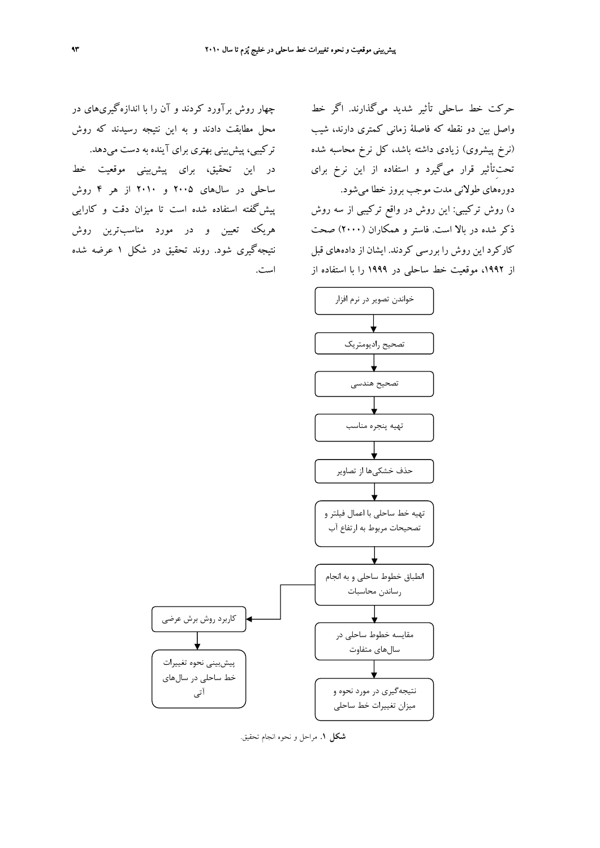چهار روش برآورد كردند و آن را با اندازهگيريهاي در محل مطابقت دادند و به اين نتيجه رسيدند كه روش تركيبي، پيشبيني بهتري براي آينده به دست ميدهد. در اين تحقيق، براي پيشبيني موقعيت خط ساحلي در سالهاي 2005 و 2010 از هر 4 روش پيشگفته استفاده شده است تا ميزان دقت و كارايي هريك تعيين و در مورد مناسبترين روش نتيجهگيري شود. روند تحقيق در شكل 1 عرضه شده است.

حركت خط ساحلي تأثير شديد ميگذارند. اگر خط واصل بين دو نقطه كه فاصلة زماني كمتري دارند، شيب (نرخ پيشروي) زيادي داشته باشد، كل نرخ محاسبه شده تحتِتأثير قرار ميگيرد و استفاده از اين نرخ براي دورههاي طولاني مدت موجب بروز خطا ميشود.

د) روش تركيبي: اين روش در واقع تركيبي از سه روش ذكر شده در بالا است. فاستر و همكاران (2000) صحت كاركرد اين روش را بررسي كردند. ايشان از دادههاي قبل از ،1992 موقعيت خط ساحلي در 1999 را با استفاده از



**شكل .1** مراحل و نحوه انجام تحقيق.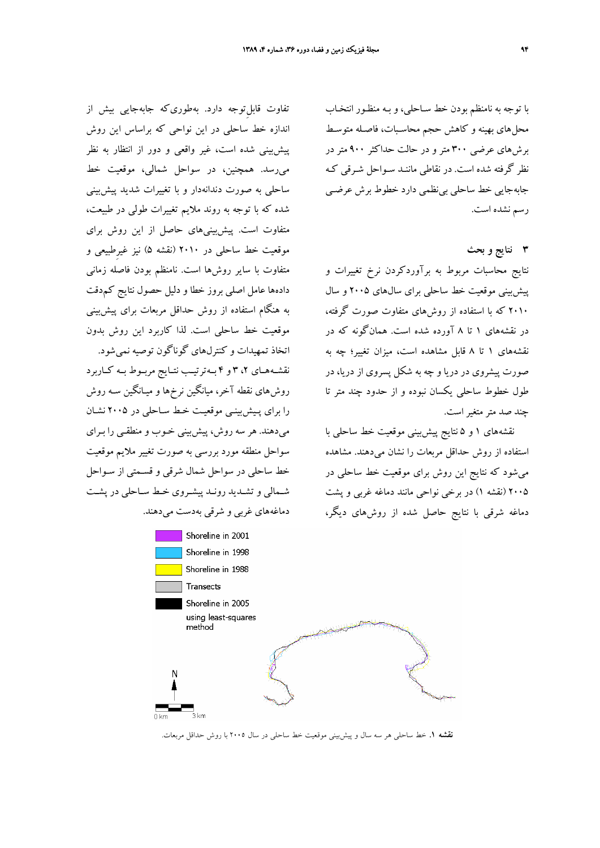با توجه به نامنظم بودن خط سـاحلي، و بـه منظـو ر انتخـاب محلهاي بهينه و كاهش حجم محاسـبات، فاصـله متوسـط برشهاي عرضي 300 متر و در حالت حداكثر 900 متر در نظر گرفته شده است. در نقاطي ماننـد سـواحل شـرقي كـه جابهجايي خط ساحلي بينظمي دارد خطوط برش عرضـي رسم نشده است.

**3 نتايج و بحث**

نتايج محاسبات مربوط به برآوردكردن نرخ تغييرات و پيشبيني موقعيت خط ساحلي براي سالهاي 2005 و سال 2010 كه با استفاده از روشهاي متفاوت صورت گرفته، در نقشههاي 1 تا 8 آورده شده است. همانگونه كه در نقشههاي 1 تا 8 قابل مشاهده است، ميزان تغيير؛ چه به صورت پيشروي در دريا و چه به شكل پسروي از دريا، در طول خطوط ساحلي يكسان نبوده و از حدود چند متر تا چند صد متر متغير است.

نقشههاي 1 و 5 نتايج پيشبيني موقعيت خط ساحلي با استفاده از روش حداقل مربعات را نشان ميدهند. مشاهده ميشود كه نتايج اين روش براي موقعيت خط ساحلي در 2005 (نقشه 1) در برخي نواحي مانند دماغه غربي و پشت دماغه شرقي با نتايج حاصل شده از روشهاي ديگر،

تفاوت قابلِتوجه دارد. بهطوريكه جابهجايي بيش از اندازه خط ساحلي در اين نواحي كه براساس اين روش پيشبيني شده است، غير واقعي و دور از انتظار به نظر ميرسد. همچنين، در سواحل شمالي، موقعيت خط ساحلي به صورت دندانهدار و با تغييرات شديد پيشبيني شده كه با توجه به روند ملايم تغييرات طولي در طبيعت، متفاوت است. پيشبينيهاي حاصل از اين روش براي موقعيت خط ساحلي در 2010 (نقشه 5) نيز غيرِطبيعي و متفاوت با ساير روشها است. نامنظم بودن فاصله زماني دادهها عامل اصلي بروز خطا و دليل حصول نتايج كمدقت به هنگام استفاده از روش حداقل مربعات براي پيشبيني موقعيت خط ساحلي است. لذا كاربرد اين روش بدون اتخاذ تمهيدات و كنترلهاي گوناگون توصيه نميشود. نقشــههــاي ،2 3 و 4 بــهترتيــب نتــايج مربــوط بــه كــاربرد روشهاي نقطه آخر، ميانگين نرخ ها و ميـانگين سـه روش را براي پـيشبينـي موقعيـت خـط سـاحلي در 2005 نشـان ميدهند. هر سه روش، پيشبيني خـوب و منطقـي را بـراي سواحل منطقه مورد بررسي به صورت تغيير ملايم موقعيت خط ساحلي در سواحل شمال شرقي و قسـمتي از سـواحل شـمالي و تشـديد رونـد پيشـروي خـط سـاحلي در پشـت دماغههاي غربي و شرقي بهدست ميدهند.



**نقشه .1** خط ساحلي هر سه سال و پيشبيني موقعيت خط ساحلي در سال 2005 با روش حداقل مربعات.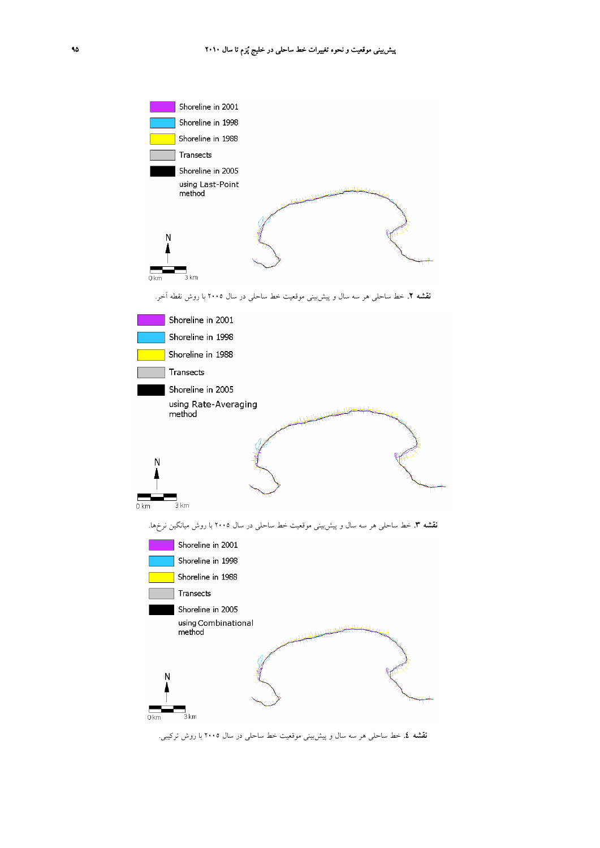

**نقشه .4** خط ساحلي هر سه سال و پيشبيني موقعيت خط ساحلي در سال 2005 با روش تركيبي.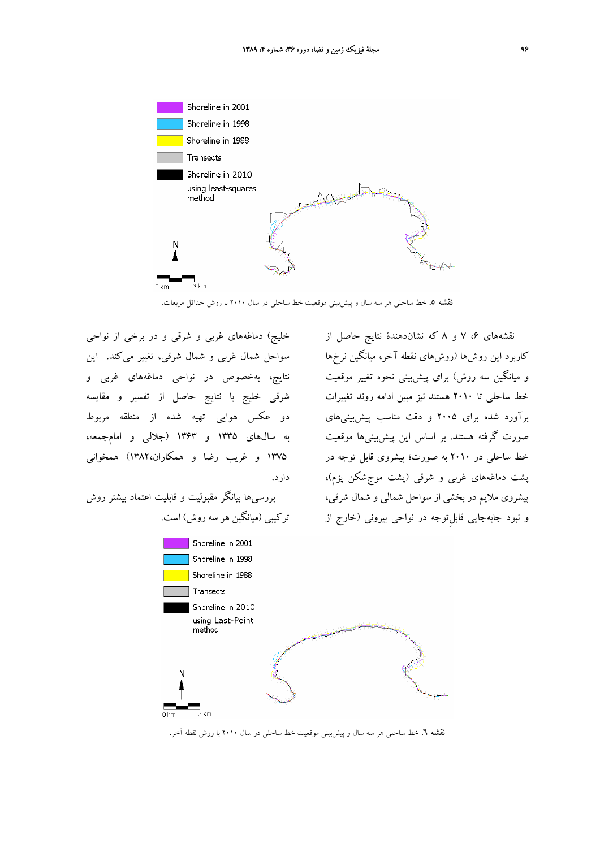

**نقشه .5** خط ساحلي هر سه سال و پيشبيني موقعيت خط ساحلي در سال 2010 با روش حداقل مربعات.

خليج) دماغههاي غربي و شرقي و در برخي از نواحي سواحل شمال غربي و شمال شرقي، تغيير ميكند. اين نتايج، بهخصوص در نواحي دماغههاي غربي و شرقي خليج با نتايج حاصل از تفسير و مقايسه دو عكس هوايي تهيه شده از منطقه مربوط به سالهاي 1335 و 1363 (جلالي و امامجمعه، 1375 و غريب رضا و همكاران1382،) همخواني دارد.

بررسيها بيانگر مقبوليت و قابليت اعتماد بيشتر روش تركيبي (ميانگين هر سه روش) است.

نقشههاي ،6 7 و 8 كه نشاندهندة نتايج حاصل از كاربرد اين روشها (روشهاي نقطه آخر، ميانگين نرخها و ميانگين سه روش) براي پيشبيني نحوه تغيير موقعيت خط ساحلي تا 2010 هستند نيز مبين ادامه روند تغييرات برآورد شده براي 2005 و دقت مناسب پيشبينيهاي صورت گرفته هستند. بر اساس اين پيشبينيها موقعيت خط ساحلي در 2010 به صورت؛ پيشروي قابل توجه در پشت دماغههاي غربي و شرقي (پشت موجشكن پزم)، پيشروي ملايم در بخشي از سواحل شمالي و شمال شرقي، و نبود جابهجايي قابلِتوجه در نواحي بيروني (خارج از



**نقشه .6** خط ساحلي هر سه سال و پيشبيني موقعيت خط ساحلي در سال 2010 با روش نقطه آخر.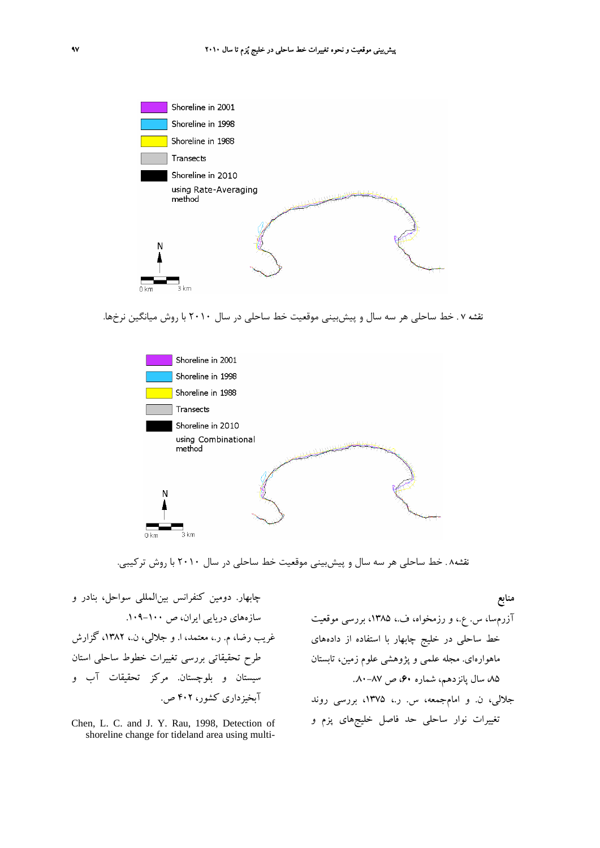

**نقشه 7 .** خط ساحلي هر سه سال و پيشبيني موقعيت خط ساحلي در سال 2010 با روش ميانگين نرخها.



**نقشه8 .** خط ساحلي هر سه سال و پيشبيني موقعيت خط ساحلي در سال 2010 با روش تركيبي.

چابهار. دومين كنفرانس بينالمللي سواحل، بنادر و سازههاي دريايي ايران، ص .109-100 غريب رضا، م. ر،. معتمد، ا. و جلالي، ن،. ،1382 گزارش طرح تحقيقاتي بررسي تغييرات خطوط ساحلي استان سيستان و بلوچستان. مركز تحقيقات آب و آبخيزداري كشور، 402 ص.

Chen, L. C. and J. Y. Rau, 1998, Detection of shoreline change for tideland area using multi-

**منابع** آزرمسا، س. ع،. و رزمخواه، ف،. ،1385 بررسي موقعيت خط ساحلي در خليج چابهار با استفاده از دادههاي ماهوارهاي. مجله علمي و پژوهشي علوم زمين، تابستان ،85 سال پانزدهم، شماره ،60 ص ..80-87 جلالي، ن. و امامجمعه، س. ر،. ،1375 بررسي روند تغييرات نوار ساحلي حد فاصل خليجهاي پزم و